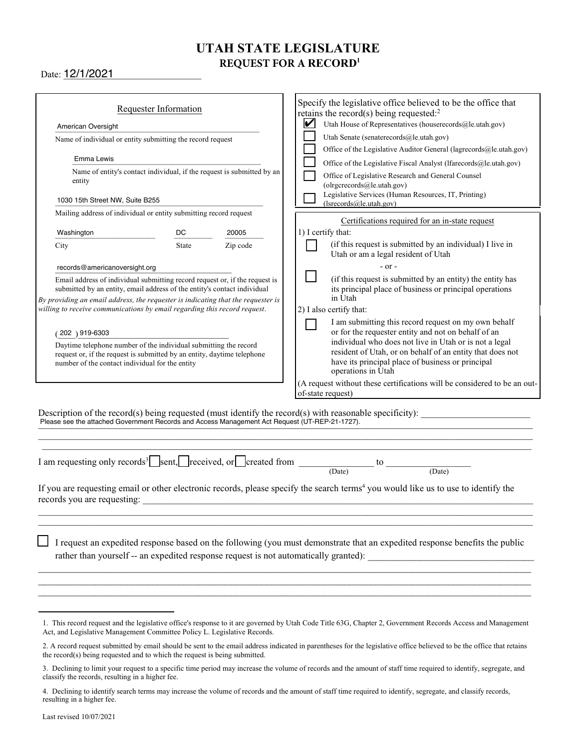# UTAH STATE LE<del>GISLATURE</del><br>DEQUEST EOD A DECODD<sup>1</sup> **3&26&45'03"RECORD1**

Date: <u>12/1/2021</u>

| Requester Information                                                                                                                                                                          |              |          | Specify the legislative office believed to be the office that                                                                                                                                                       |
|------------------------------------------------------------------------------------------------------------------------------------------------------------------------------------------------|--------------|----------|---------------------------------------------------------------------------------------------------------------------------------------------------------------------------------------------------------------------|
|                                                                                                                                                                                                |              |          | retains the record(s) being requested: $2$<br>Utah House of Representatives (houserecords@le.utah.gov)<br>V                                                                                                         |
| American Oversight                                                                                                                                                                             |              |          | Utah Senate (senaterecords@le.utah.gov)                                                                                                                                                                             |
| Name of individual or entity submitting the record request                                                                                                                                     |              |          | Office of the Legislative Auditor General (lagrecords@le.utah.gov)                                                                                                                                                  |
| Emma Lewis                                                                                                                                                                                     |              |          |                                                                                                                                                                                                                     |
| Name of entity's contact individual, if the request is submitted by an                                                                                                                         |              |          | Office of the Legislative Fiscal Analyst (lfarecords@le.utah.gov)                                                                                                                                                   |
| entity                                                                                                                                                                                         |              |          | Office of Legislative Research and General Counsel<br>(olrgcrecords@le.utah.gov)                                                                                                                                    |
| 1030 15th Street NW, Suite B255                                                                                                                                                                |              |          | Legislative Services (Human Resources, IT, Printing)<br>(Isrecords@le.utah.gov)                                                                                                                                     |
| Mailing address of individual or entity submitting record request                                                                                                                              |              |          | Certifications required for an in-state request                                                                                                                                                                     |
| Washington                                                                                                                                                                                     | DC.          | 20005    | 1) I certify that:                                                                                                                                                                                                  |
| City                                                                                                                                                                                           | <b>State</b> | Zip code | (if this request is submitted by an individual) I live in<br>Utah or am a legal resident of Utah                                                                                                                    |
| records@americanoversight.org                                                                                                                                                                  |              |          | $-$ or $-$                                                                                                                                                                                                          |
| Email address of individual submitting record request or, if the request is<br>submitted by an entity, email address of the entity's contact individual                                        |              |          | (if this request is submitted by an entity) the entity has<br>its principal place of business or principal operations<br>in Utah                                                                                    |
| By providing an email address, the requester is indicating that the requester is<br>willing to receive communications by email regarding this record request.                                  |              |          | 2) I also certify that:                                                                                                                                                                                             |
|                                                                                                                                                                                                |              |          | I am submitting this record request on my own behalf                                                                                                                                                                |
| $(202)$ 919-6303                                                                                                                                                                               |              |          | or for the requester entity and not on behalf of an                                                                                                                                                                 |
| Daytime telephone number of the individual submitting the record<br>request or, if the request is submitted by an entity, daytime telephone<br>number of the contact individual for the entity |              |          | individual who does not live in Utah or is not a legal<br>resident of Utah, or on behalf of an entity that does not<br>have its principal place of business or principal<br>operations in Utah                      |
|                                                                                                                                                                                                |              |          | (A request without these certifications will be considered to be an out-<br>of-state request)                                                                                                                       |
| Please see the attached Government Records and Access Management Act Request (UT-REP-21-1727).                                                                                                 |              |          | Description of the record(s) being requested (must identify the record(s) with reasonable specificity):                                                                                                             |
|                                                                                                                                                                                                |              |          | I am requesting only records <sup>3</sup> Sent, received, or created from $\frac{1}{(Date)}$ to $\frac{1}{(Date)}$<br>(Date)                                                                                        |
| records you are requesting:                                                                                                                                                                    |              |          | If you are requesting email or other electronic records, please specify the search terms <sup>4</sup> you would like us to use to identify the                                                                      |
|                                                                                                                                                                                                |              |          | I request an expedited response based on the following (you must demonstrate that an expedited response benefits the public<br>rather than yourself -- an expedited response request is not automatically granted): |
| Act, and Legislative Management Committee Policy L. Legislative Records.                                                                                                                       |              |          | 1. This record request and the legislative office's response to it are governed by Utah Code Title 63G, Chapter 2, Government Records Access and Management                                                         |

<sup>2.</sup> A record request submitted by email should be sent to the email address indicated in parentheses for the legislative office believed to be the office that retains the record(s) being requested and to which the request is being submitted.

Declining to limit your request to a specific time period may increase the volume of records and the amount of staff time required to identify, segregate, and classify the records, resulting in a higher fee.

Declining to identify search terms may increase the volume of records and the amount of staff time required to identify, segregate, and classify records, resulting in a higher fee.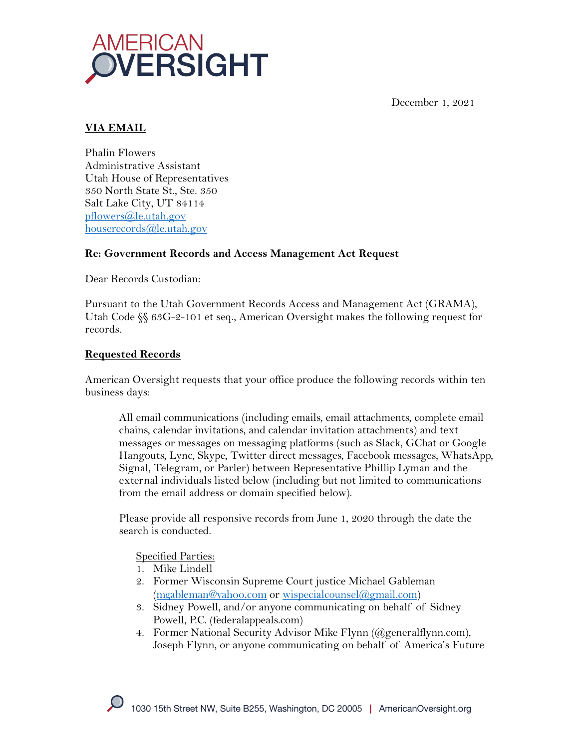



# **VIA EMAIL**

Phalin Flowers Administrative Assistant Utah House of Representatives 350 North State St., Ste. 350 Salt Lake City, UT 84114 pflowers@le.utah.gov houserecords@le.utah.gov

### **Re: Government Records and Access Management Act Request**

Dear Records Custodian:

Pursuant to the Utah Government Records Access and Management Act (GRAMA), Utah Code  $\S$  63G-2-101 et seq., American Oversight makes the following request for records.

# **Requested Records**

American Oversight requests that your office produce the following records within ten business days:

All email communications (including emails, email attachments, complete email chains, calendar invitations, and calendar invitation attachments) and text messages or messages on messaging platforms (such as Slack, GChat or Google Hangouts, Lync, Skype, Twitter direct messages, Facebook messages, WhatsApp, Signal, Telegram, or Parler) between Representative Phillip Lyman and the external individuals listed below (including but not limited to communications from the email address or domain specified below).

Please provide all responsive records from June 1, 2020 through the date the search is conducted.

Specified Parties:

- 1. Mike Lindell
- 2. Former Wisconsin Supreme Court justice Michael Gableman (mgableman@yahoo.com or wispecialcounsel@gmail.com)
- 3. Sidney Powell, and/or anyone communicating on behalf of Sidney Powell, P.C. (federalappeals.com)
- 4. Former National Security Advisor Mike Flynn (@generalflynn.com), Joseph Flynn, or anyone communicating on behalf of America's Future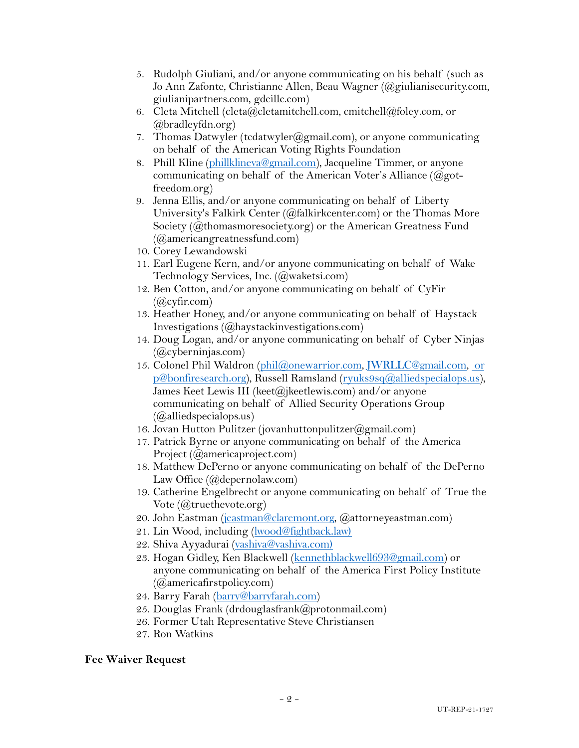- 5. Rudolph Giuliani, and/or anyone communicating on his behalf (such as Jo Ann Zafonte, Christianne Allen, Beau Wagner (@giulianisecurity.com, giulianipartners.com, gdcillc.com)
- 6. Cleta Mitchell (cleta@cletamitchell.com, cmitchell@foley.com, or @bradleyfdn.org)
- 7. Thomas Datwyler (tcdatwyler@gmail.com), or anyone communicating on behalf of the American Voting Rights Foundation
- 8. Phill Kline (phillklineva@gmail.com), Jacqueline Timmer, or anyone communicating on behalf of the American Voter's Alliance  $(Qgot$ freedom.org)
- 9. Jenna Ellis, and/or anyone communicating on behalf of Liberty University's Falkirk Center (@falkirkcenter.com) or the Thomas More Society (@thomasmoresociety.org) or the American Greatness Fund (@americangreatnessfund.com)
- 10. Corey Lewandowski
- 11. Earl Eugene Kern, and/or anyone communicating on behalf of Wake Technology Services, Inc. (@waketsi.com)
- 12. Ben Cotton, and/or anyone communicating on behalf of CyFir  $(Qcylir.com)$
- 13. Heather Honey, and/or anyone communicating on behalf of Haystack Investigations (@haystackinvestigations.com)
- 14. Doug Logan, and/or anyone communicating on behalf of Cyber Ninjas (@cyberninjas.com)
- 15. Colonel Phil Waldron (phil@onewarrior.com, JWRLLC@gmail.com, or p@bonfiresearch.org), Russell Ramsland (ryuks9sq@alliedspecialops.us), James Keet Lewis III (keet@jkeetlewis.com) and/or anyone communicating on behalf of Allied Security Operations Group  $(Qallied specialops.us)$
- 16. Jovan Hutton Pulitzer (jovanhuttonpulitzer@gmail.com)
- 17. Patrick Byrne or anyone communicating on behalf of the America Project (@americaproject.com)
- 18. Matthew DePerno or anyone communicating on behalf of the DePerno Law Office (@depernolaw.com)
- 19. Catherine Engelbrecht or anyone communicating on behalf of True the Vote (@truethevote.org)
- 20. John Eastman (jeastman@claremont.org, @attorneyeastman.com)
- 21. Lin Wood, including (lwood@fightback.law)
- 22. Shiva Ayyadurai (vashiva@vashiva.com)
- 23. Hogan Gidley, Ken Blackwell (kennethblackwell693@gmail.com) or anyone communicating on behalf of the America First Policy Institute (@americafirstpolicy.com)
- 24. Barry Farah (barry@barryfarah.com)
- 25. Douglas Frank (drdouglasfrank@protonmail.com)
- 26. Former Utah Representative Steve Christiansen
- 27. Ron Watkins

#### **Fee Waiver Request**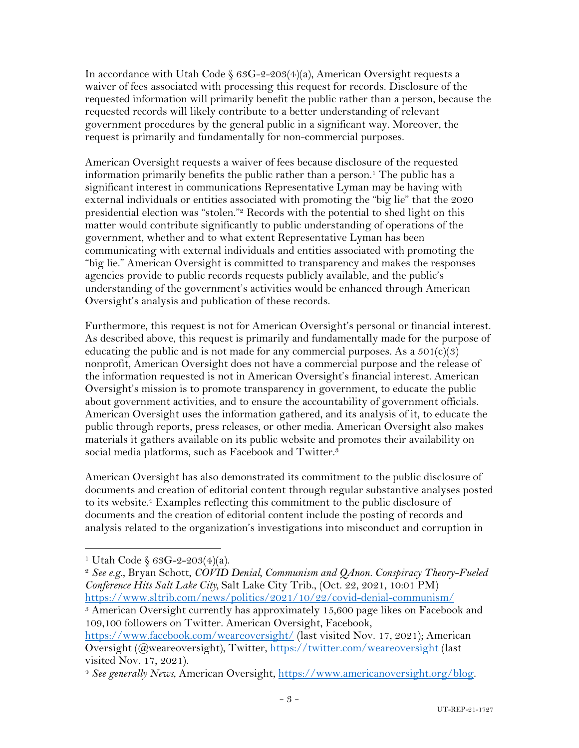In accordance with Utah Code  $663G-2-203(4)(a)$ , American Oversight requests a waiver of fees associated with processing this request for records. Disclosure of the requested information will primarily benefit the public rather than a person, because the requested records will likely contribute to a better understanding of relevant government procedures by the general public in a significant way. Moreover, the request is primarily and fundamentally for non-commercial purposes.

American Oversight requests a waiver of fees because disclosure of the requested information primarily benefits the public rather than a person.<sup>1</sup> The public has a significant interest in communications Representative Lyman may be having with external individuals or entities associated with promoting the "big lie" that the 2020 presidential election was "stolen."2 Records with the potential to shed light on this matter would contribute significantly to public understanding of operations of the government, whether and to what extent Representative Lyman has been communicating with external individuals and entities associated with promoting the "big lie." American Oversight is committed to transparency and makes the responses agencies provide to public records requests publicly available, and the public's understanding of the government's activities would be enhanced through American Oversight's analysis and publication of these records.

Furthermore, this request is not for American Oversight's personal or financial interest. As described above, this request is primarily and fundamentally made for the purpose of educating the public and is not made for any commercial purposes. As a  $501(c)(3)$ nonprofit, American Oversight does not have a commercial purpose and the release of the information requested is not in American Oversight's financial interest. American Oversight's mission is to promote transparency in government, to educate the public about government activities, and to ensure the accountability of government officials. American Oversight uses the information gathered, and its analysis of it, to educate the public through reports, press releases, or other media. American Oversight also makes materials it gathers available on its public website and promotes their availability on social media platforms, such as Facebook and Twitter.<sup>3</sup>

American Oversight has also demonstrated its commitment to the public disclosure of documents and creation of editorial content through regular substantive analyses posted to its website.4 Examples reflecting this commitment to the public disclosure of documents and the creation of editorial content include the posting of records and analysis related to the organization's investigations into misconduct and corruption in

<sup>&</sup>lt;sup>1</sup> Utah Code  $$63G-2-203(4)(a).$ 

<sup>2</sup> *See e.g.*, Bryan Schott, *COVID Denial, Communism and QAnon. Conspiracy Theory-Fueled Conference Hits Salt Lake City,* Salt Lake City Trib., (Oct. 22, 2021, 10:01 PM) https://www.sltrib.com/news/politics/2021/10/22/covid-denial-communism/

<sup>3</sup> American Oversight currently has approximately 15,600 page likes on Facebook and 109,100 followers on Twitter. American Oversight, Facebook,

https://www.facebook.com/weareoversight/ (last visited Nov. 17, 2021); American Oversight (@weareoversight), Twitter, https://twitter.com/weareoversight (last visited Nov. 17, 2021).

<sup>4</sup> *See generally News*, American Oversight, https://www.americanoversight.org/blog.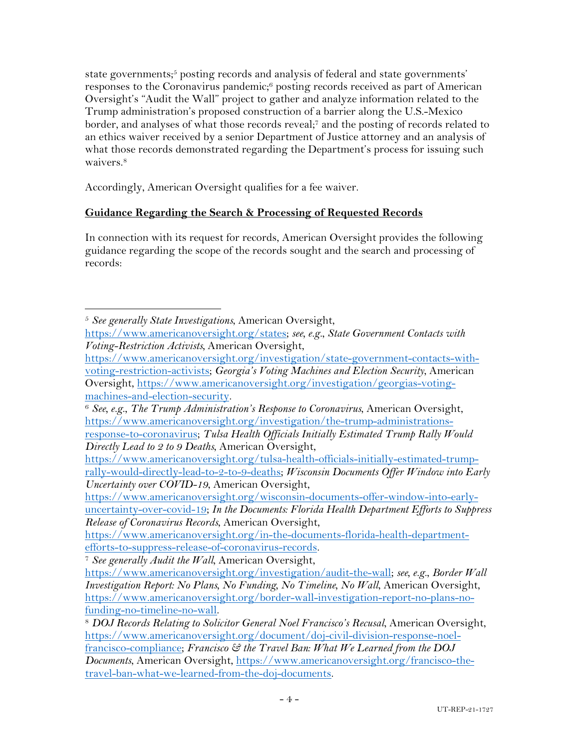state governments;<sup>5</sup> posting records and analysis of federal and state governments' responses to the Coronavirus pandemic;6 posting records received as part of American Oversight's "Audit the Wall" project to gather and analyze information related to the Trump administration's proposed construction of a barrier along the U.S.-Mexico border, and analyses of what those records reveal;7 and the posting of records related to an ethics waiver received by a senior Department of Justice attorney and an analysis of what those records demonstrated regarding the Department's process for issuing such waivers.<sup>8</sup>

Accordingly, American Oversight qualifies for a fee waiver.

#### **Guidance Regarding the Search & Processing of Requested Records**

In connection with its request for records, American Oversight provides the following guidance regarding the scope of the records sought and the search and processing of records:

<sup>5</sup> *See generally State Investigations*, American Oversight,

https://www.americanoversight.org/states; *see, e.g.*, *State Government Contacts with Voting-Restriction Activists,* American Oversight,

https://www.americanoversight.org/investigation/state-government-contacts-withvoting-restriction-activists; *Georgia's Voting Machines and Election Security*, American Oversight, https://www.americanoversight.org/investigation/georgias-voting-

machines-and-election-security. 6 *See, e.g.*, *The Trump Administration's Response to Coronavirus*, American Oversight, https://www.americanoversight.org/investigation/the-trump-administrations-

response-to-coronavirus; *Tulsa Health Officials Initially Estimated Trump Rally Would Directly Lead to 2 to 9 Deaths*, American Oversight,

https://www.americanoversight.org/tulsa-health-officials-initially-estimated-trumprally-would-directly-lead-to-2-to-9-deaths; *Wisconsin Documents Offer Window into Early Uncertainty over COVID-19*, American Oversight,

https://www.americanoversight.org/wisconsin-documents-offer-window-into-earlyuncertainty-over-covid-19; *In the Documents: Florida Health Department Efforts to Suppress Release of Coronavirus Records*, American Oversight,

https://www.americanoversight.org/in-the-documents-florida-health-departmentefforts-to-suppress-release-of-coronavirus-records. 7 *See generally Audit the Wall*, American Oversight,

https://www.americanoversight.org/investigation/audit-the-wall; *see, e.g.*, *Border Wall Investigation Report: No Plans, No Funding, No Timeline, No Wall*, American Oversight, https://www.americanoversight.org/border-wall-investigation-report-no-plans-nofunding-no-timeline-no-wall. 8 *DOJ Records Relating to Solicitor General Noel Francisco's Recusal*, American Oversight,

https://www.americanoversight.org/document/doj-civil-division-response-noelfrancisco-compliance; *Francisco & the Travel Ban: What We Learned from the DOJ Documents*, American Oversight, https://www.americanoversight.org/francisco-thetravel-ban-what-we-learned-from-the-doj-documents.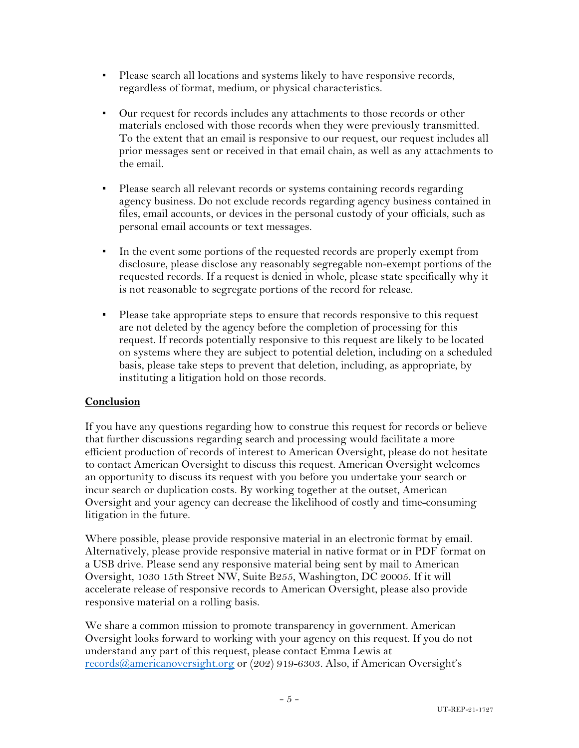- Please search all locations and systems likely to have responsive records, regardless of format, medium, or physical characteristics.
- Our request for records includes any attachments to those records or other materials enclosed with those records when they were previously transmitted. To the extent that an email is responsive to our request, our request includes all prior messages sent or received in that email chain, as well as any attachments to the email.
- Please search all relevant records or systems containing records regarding agency business. Do not exclude records regarding agency business contained in files, email accounts, or devices in the personal custody of your officials, such as personal email accounts or text messages.
- In the event some portions of the requested records are properly exempt from disclosure, please disclose any reasonably segregable non-exempt portions of the requested records. If a request is denied in whole, please state specifically why it is not reasonable to segregate portions of the record for release.
- Please take appropriate steps to ensure that records responsive to this request are not deleted by the agency before the completion of processing for this request. If records potentially responsive to this request are likely to be located on systems where they are subject to potential deletion, including on a scheduled basis, please take steps to prevent that deletion, including, as appropriate, by instituting a litigation hold on those records.

#### **Conclusion**

If you have any questions regarding how to construe this request for records or believe that further discussions regarding search and processing would facilitate a more efficient production of records of interest to American Oversight, please do not hesitate to contact American Oversight to discuss this request. American Oversight welcomes an opportunity to discuss its request with you before you undertake your search or incur search or duplication costs. By working together at the outset, American Oversight and your agency can decrease the likelihood of costly and time-consuming litigation in the future.

Where possible, please provide responsive material in an electronic format by email. Alternatively, please provide responsive material in native format or in PDF format on a USB drive. Please send any responsive material being sent by mail to American Oversight, 1030 15th Street NW, Suite B255, Washington, DC 20005. If it will accelerate release of responsive records to American Oversight, please also provide responsive material on a rolling basis.

We share a common mission to promote transparency in government. American Oversight looks forward to working with your agency on this request. If you do not understand any part of this request, please contact Emma Lewis at records@americanoversight.org or (202) 919-6303. Also, if American Oversight's